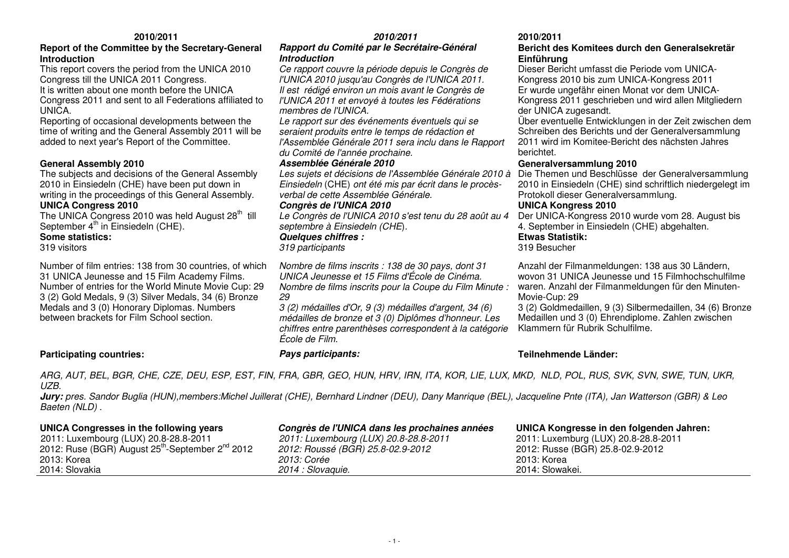### **Report of the Committee by the Secretary-General Introduction**

 This report covers the period from the UNICA 2010 Congress till the UNICA 2011 Congress.

 It is written about one month before the UNICA Congress 2011 and sent to all Federations affiliated to UNICA.

 Reporting of occasional developments between the time of writing and the General Assembly 2011 will be added to next year's Report of the Committee.

### **General Assembly 2010**

 The subjects and decisions of the General Assembly 2010 in Einsiedeln (CHE) have been put down in writing in the proceedings of this General Assembly. **UNICA Congress 2010** 

The UNICA Congress 2010 was held August 28<sup>th</sup> till September  $4<sup>th</sup>$  in Einsiedeln (CHE).

**Some statistics:** 

319 visitors

Number of film entries: 138 from 30 countries, of which 31 UNICA Jeunesse and 15 Film Academy Films. Number of entries for the World Minute Movie Cup: 29 3 (2) Gold Medals, 9 (3) Silver Medals, 34 (6) Bronze Medals and 3 (0) Honorary Diplomas. Numbers between brackets for Film School section.

### **2010/2011**

### **Rapport du Comité par le Secrétaire-Général Introduction**

 Ce rapport couvre la période depuis le Congrès de l'UNICA 2010 jusqu'au Congrès de l'UNICA 2011. Il est rédigé environ un mois avant le Congrès de l'UNICA 2011 et envoyé à toutes les Fédérations membres de l'UNICA.

 Le rapport sur des événements éventuels qui se seraient produits entre le temps de rédaction et l'Assemblée Générale 2011 sera inclu dans le Rapport du Comité de l'année prochaine.

### **Assemblée Générale 2010**

Einsiedeln (CHE) ont été mis par écrit dans le procèsverbal de cette Assemblée Générale.

### **Congrès de l'UNICA 2010**

 Le Congrès de l'UNICA 2010 s'est tenu du 28 août au 4 septembre à Einsiedeln (CHE).

### **Quelques chiffres :**

319 participants

Nombre de films inscrits : 138 de 30 pays, dont 31 UNICA Jeunesse et 15 Films d'École de Cinéma. Nombre de films inscrits pour la Coupe du Film Minute : 29

 3 (2) médailles d'Or, 9 (3) médailles d'argent, 34 (6) médailles de bronze et 3 (0) Diplômes d'honneur. Les chiffres entre parenthèses correspondent à la catégorie<br>École de Film.

### **2010/2011**

### **Bericht des Komitees durch den Generalsekretär Einführung**

 Dieser Bericht umfasst die Periode vom UNICA-Kongress 2010 bis zum UNICA-Kongress 2011 Er wurde ungefähr einen Monat vor dem UNICA-Kongress 2011 geschrieben und wird allen Mitgliedern

Über eventuelle Entwicklungen in der Zeit zwischen dem Schreiben des Berichts und der Generalversammlung 2011 wird im Komitee-Bericht des nächsten Jahres berichtet.

### **Generalversammlung 2010**

Les sujets et décisions de l'Assemblée Générale 2010 à Die Themen und Beschlüsse der Generalversammlung 2010 in Einsiedeln (CHE) sind schriftlich niedergelegt im Protokoll dieser Generalversammlung.

### **UNICA Kongress 2010**

 Der UNICA-Kongress 2010 wurde vom 28. August bis 4. September in Einsiedeln (CHE) abgehalten.**Etwas Statistik:** 

### 319 Besucher

Anzahl der Filmanmeldungen: 138 aus 30 Ländern, wovon 31 UNICA Jeunesse und 15 Filmhochschulfilme waren. Anzahl der Filmanmeldungen für den Minuten-Movie-Cup: 29

 3 (2) Goldmedaillen, 9 (3) Silbermedaillen, 34 (6) Bronze Medaillen und 3 (0) Ehrendiplome. Zahlen zwischen Klammern für Rubrik Schulfilme.

### **Participating countries: Pays participants: Teilnehmende Länder:**

ARG, AUT, BEL, BGR, CHE, CZE, DEU, ESP, EST, FIN, FRA, GBR, GEO, HUN, HRV, IRN, ITA, KOR, LIE, LUX, MKD, NLD, POL, RUS, SVK, SVN, SWE, TUN, UKR, UZB.

 **Jury:** pres. Sandor Buglia (HUN),members:Michel Juillerat (CHE), Bernhard Lindner (DEU), Dany Manrique (BEL), Jacqueline Pnte (ITA), Jan Watterson (GBR) & Leo Baeten (NLD) .

| UNICA Congresses in the following years                                  | Congrès de l'UNICA dans les prochaines années | UNICA Kongresse in den folgenden Jahren: |
|--------------------------------------------------------------------------|-----------------------------------------------|------------------------------------------|
| 2011: Luxembourg (LUX) 20.8-28.8-2011                                    | 2011: Luxembourg (LUX) 20.8-28.8-2011         | 2011: Luxemburg (LUX) 20.8-28.8-2011     |
| 2012: Ruse (BGR) August 25 <sup>th</sup> -September 2 <sup>nd</sup> 2012 | 2012: Roussé (BGR) 25.8-02.9-2012             | 2012: Russe (BGR) 25.8-02.9-2012         |
| 2013: Korea                                                              | <i>2013: Corée</i>                            | 2013: Korea                              |
| 2014: Slovakia                                                           | 2014 : Slovaguie.                             | 2014: Slowakei.                          |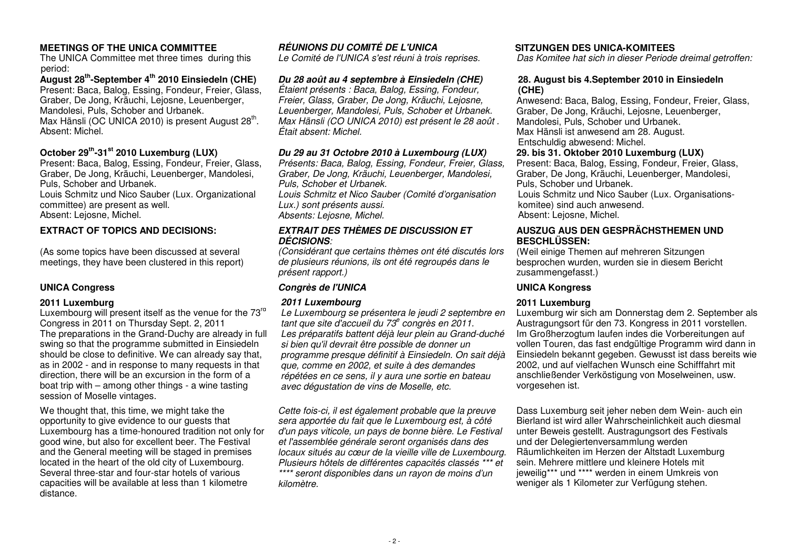### **MEETINGS OF THE UNICA COMMITTEE RÉUNIONS DU COMITÉ DE L'UNICA SITZUNGEN DES UNICA-KOMITEES**

The UNICA Committee met three times during this period:

 **August 28th-September 4th 2010 Einsiedeln (CHE)**  Present: Baca, Balog, Essing, Fondeur, Freier, Glass, Graber, De Jong, Kräuchi, Lejosne, Leuenberger, Mandolesi, Puls, Schober and Urbanek. Max Hänsli (OC UNICA 2010) is present August 28<sup>th</sup>. Absent: Michel.

### **October 29th-31st 2010 Luxemburg (LUX)**

 Present: Baca, Balog, Essing, Fondeur, Freier, Glass, Graber, De Jong, Kräuchi, Leuenberger, Mandolesi, Puls, Schober and Urbanek. Louis Schmitz und Nico Sauber (Lux. Organizational committee) are present as well.

Absent: Lejosne, Michel.

### **EXTRACT OF TOPICS AND DECISIONS:**

(As some topics have been discussed at several meetings, they have been clustered in this report)

Luxembourg will present itself as the venue for the 73<sup>rd</sup> Congress in 2011 on Thursday Sept. 2, 2011 The preparations in the Grand-Duchy are already in full swing so that the programme submitted in Einsiedeln should be close to definitive. We can already say that, as in 2002 - and in response to many requests in that direction, there will be an excursion in the form of a boat trip with – among other things - a wine tasting session of Moselle vintages.

We thought that, this time, we might take the opportunity to give evidence to our guests that Luxembourg has a time-honoured tradition not only for good wine, but also for excellent beer. The Festival and the General meeting will be staged in premises located in the heart of the old city of Luxembourg. Several three-star and four-star hotels of various capacities will be available at less than 1 kilometre distance.

## **Du 28 août au 4 septembre à Einsiedeln (CHE)** Étaient présents : Baca, Balog, Essing, Fondeur,

 Freier, Glass, Graber, De Jong, Kräuchi, Lejosne, Leuenberger, Mandolesi, Puls, Schober et Urbanek. Max Hänsli (CO UNICA 2010) est présent le 28 août .Était absent: Michel.

### **Du 29 au 31 Octobre 2010 à Luxembourg (LUX)**

 Présents: Baca, Balog, Essing, Fondeur, Freier, Glass, Graber, De Jong, Kräuchi, Leuenberger, Mandolesi, Puls, Schober et Urbanek.

 Louis Schmitz et Nico Sauber (Comité d'organisationLux.) sont présents aussi. Absents: Lejosne, Michel.

### **EXTRAIT DES THÈMES DE DISCUSSION ET DÉCISIONS**:

 (Considérant que certains thèmes ont été discutés lors de plusieurs réunions, ils ont été regroupés dans le présent rapport.)

### **UNICA Congress Congrès de l'UNICA UNICA Kongress**

### **2011 Luxemburg 2011 Luxembourg 2011 Luxemburg**

Le Luxembourg se présentera le jeudi 2 septembre en tant que site d'accueil du  $73<sup>e</sup>$  congrès en 2011. Les préparatifs battent déjà leur plein au Grand-duché si bien qu'il devrait être possible de donner un programme presque définitif à Einsiedeln. On sait déjà que, comme en 2002, et suite à des demandes répétées en ce sens, il y aura une sortie en bateauavec dégustation de vins de Moselle, etc.

Cette fois-ci, il est également probable que la preuve sera apportée du fait que le Luxembourg est, à côté d'un pays viticole, un pays de bonne bière. Le Festival et l'assemblée générale seront organisés dans des locaux situés au cœur de la vieille ville de Luxembourg. Plusieurs hôtels de différentes capacités classés \*\*\* et \*\*\*\* seront disponibles dans un rayon de moins d'un kilomètre.

Le Comité de l'UNICA s'est réuni à trois reprises. Das Komitee hat sich in dieser Periode dreimal getroffen:

### **28. August bis 4.September 2010 in Einsiedeln (CHE)**

 Anwesend: Baca, Balog, Essing, Fondeur, Freier, Glass, Graber, De Jong, Kräuchi, Lejosne, Leuenberger. Mandolesi, Puls, Schober und Urbanek. Max Hänsli ist anwesend am 28. August. Entschuldig abwesend: Michel.

### **29. bis 31. Oktober 2010 Luxemburg (LUX)**

 Present: Baca, Balog, Essing, Fondeur, Freier, Glass, Graber, De Jong, Kräuchi, Leuenberger, Mandolesi, Puls, Schober und Urbanek.

 Louis Schmitz und Nico Sauber (Lux. Organisationskomitee) sind auch anwesend. Absent: Lejosne, Michel.

### **AUSZUG AUS DEN GESPRÄCHSTHEMEN UND BESCHLÜSSEN:**

 (Weil einige Themen auf mehreren Sitzungen besprochen wurden, wurden sie in diesem Bericht zusammengefasst.)

 Luxemburg wir sich am Donnerstag dem 2. September als Austragungsort für den 73. Kongress in 2011 vorstellen. Im Großherzogtum laufen indes die Vorbereitungen auf vollen Touren, das fast endgültige Programm wird dann in Einsiedeln bekannt gegeben. Gewusst ist dass bereits wie 2002, und auf vielfachen Wunsch eine Schifffahrt mit anschließender Verköstigung von Moselweinen, usw. vorgesehen ist.

Dass Luxemburg seit jeher neben dem Wein- auch ein Bierland ist wird aller Wahrscheinlichkeit auch diesmal unter Beweis gestellt. Austragungsort des Festivalsund der Delegiertenversammlung werden Räumlichkeiten im Herzen der Altstadt Luxemburg sein. Mehrere mittlere und kleinere Hotels mit jeweilig\*\*\* und \*\*\*\* werden in einem Umkreis von weniger als 1 Kilometer zur Verfügung stehen.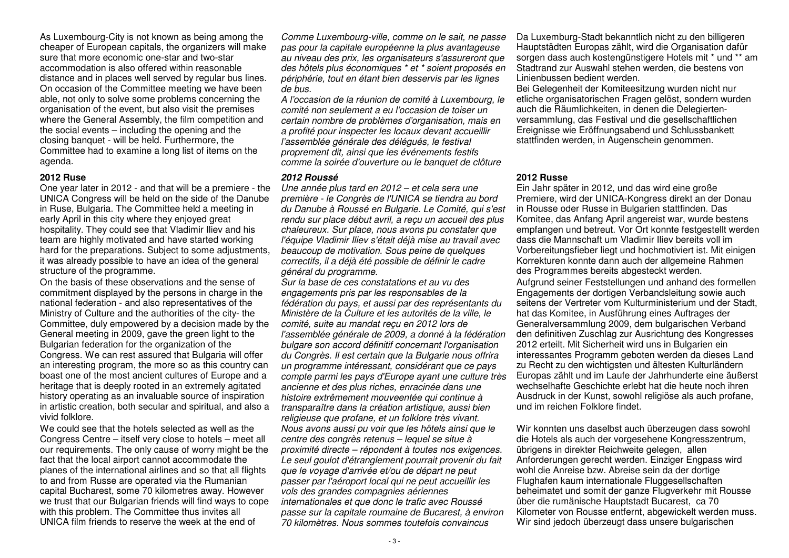As Luxembourg-City is not known as being among the cheaper of European capitals, the organizers will make sure that more economic one-star and two-star accommodation is also offered within reasonable distance and in places well served by regular bus lines. On occasion of the Committee meeting we have been able, not only to solve some problems concerning the organisation of the event, but also visit the premises where the General Assembly, the film competition and the social events – including the opening and the closing banquet - will be held. Furthermore, the Committee had to examine a long list of items on the agenda.

One year later in 2012 - and that will be a premiere - the UNICA Congress will be held on the side of the Danube in Ruse, Bulgaria. The Committee held a meeting in early April in this city where they enjoyed great hospitality. They could see that Vladimir Iliev and his team are highly motivated and have started working hard for the preparations. Subject to some adjustments, it was already possible to have an idea of the general structure of the programme.

 On the basis of these observations and the sense of commitment displayed by the persons in charge in the national federation - and also representatives of the Ministry of Culture and the authorities of the city- the Committee, duly empowered by a decision made by theGeneral meeting in 2009, gave the green light to the Bulgarian federation for the organization of the Congress. We can rest assured that Bulgaria will offer an interesting program, the more so as this country can boast one of the most ancient cultures of Europe and a heritage that is deeply rooted in an extremely agitated history operating as an invaluable source of inspiration in artistic creation, both secular and spiritual, and also a vivid folklore.

We could see that the hotels selected as well as the Congress Centre – itself very close to hotels – meet all our requirements. The only cause of worry might be the fact that the local airport cannot accommodate the planes of the international airlines and so that all flights to and from Russe are operated via the Rumanian capital Bucharest, some 70 kilometres away. However we trust that our Bulgarian friends will find ways to cope with this problem. The Committee thus invites all UNICA film friends to reserve the week at the end of

Comme Luxembourg-ville, comme on le sait, ne passe pas pour la capitale européenne la plus avantageuse au niveau des prix, les organisateurs s'assureront que des hôtels plus économiques \* et \* soient proposés en périphérie, tout en étant bien desservis par les lignes de bus.

 A l'occasion de la réunion de comité à Luxembourg, le comité non seulement a eu l'occasion de toiser un certain nombre de problèmes d'organisation, mais ena profité pour inspecter les locaux devant accueillir l'assemblée générale des délégués, le festival proprement dit, ainsi que les événements festifs comme la soirée d'ouverture ou le banquet de clôture

### **2012 Ruse 2012 Roussé 2012 Russe**

Une année plus tard en 2012 – et cela sera une première - le Congrès de l'UNICA se tiendra au bord du Danube à Roussé en Bulgarie. Le Comité, qui s'est rendu sur place début avril, a reçu un accueil des plus chaleureux. Sur place, nous avons pu constater que l'équipe Vladimir Iliev s'était déjà mise au travail avec beaucoup de motivation. Sous peine de quelques correctifs, il a déjà été possible de définir le cadre général du programme.

 Sur la base de ces constatations et au vu des engagements pris par les responsables de la fédération du pays, et aussi par des représentants du Ministère de la Culture et les autorités de la ville, le comité, suite au mandat reçu en 2012 lors de l'assemblée générale de 2009, a donné à la fédération bulgare son accord définitif concernant l'organisation du Congrès. Il est certain que la Bulgarie nous offrira un programme intéressant, considérant que ce pays compte parmi les pays d'Europe ayant une culture très ancienne et des plus riches, enracinée dans une histoire extrêmement mouveentée qui continue à transparaître dans la création artistique, aussi bien religieuse que profane, et un folklore très vivant. Nous avons aussi pu voir que les hôtels ainsi que le centre des congrès retenus – lequel se situe à proximité directe – répondent à toutes nos exigences. Le seul goulot d'étranglement pourrait provenir du fait que le voyage d'arrivée et/ou de départ ne peut passer par l'aéroport local qui ne peut accueillir les vols des grandes compagnies aériennes internationales et que donc le trafic avec Roussé passe sur la capitale roumaine de Bucarest, à environ 70 kilomètres. Nous sommes toutefois convaincus

Da Luxemburg-Stadt bekanntlich nicht zu den billigeren Hauptstädten Europas zählt, wird die Organisation dafür sorgen dass auch kostengünstigere Hotels mit \* und \*\* am Stadtrand zur Auswahl stehen werden, die bestens von Linienbussen bedient werden.

 Bei Gelegenheit der Komiteesitzung wurden nicht nur etliche organisatorischen Fragen gelöst, sondern wurden auch die Räumlichkeiten, in denen die Delegiertenversammlung, das Festival und die gesellschaftlichen Ereignisse wie Eröffnungsabend und Schlussbankett stattfinden werden, in Augenschein genommen.

 Ein Jahr später in 2012, und das wird eine große Premiere, wird der UNICA-Kongress direkt an der Donau in Rousse oder Russe in Bulgarien stattfinden. Das Komitee, das Anfang April angereist war, wurde bestens empfangen und betreut. Vor Ort konnte festgestellt werden dass die Mannschaft um Vladimir Iliev bereits voll im Vorbereitungsfieber liegt und hochmotiviert ist. Mit einigen Korrekturen konnte dann auch der allgemeine Rahmen des Programmes bereits abgesteckt werden.

 Aufgrund seiner Feststellungen und anhand des formellen Engagements der dortigen Verbandsleitung sowie auch seitens der Vertreter vom Kulturministerium und der Stadt, hat das Komitee, in Ausführung eines Auftrages der Generalversammlung 2009, dem bulgarischen Verband den definitiven Zuschlag zur Ausrichtung des Kongresses 2012 erteilt. Mit Sicherheit wird uns in Bulgarien ein interessantes Programm geboten werden da dieses Land zu Recht zu den wichtigsten und ältesten Kulturländern Europas zählt und im Laufe der Jahrhunderte eine äußerst wechselhafte Geschichte erlebt hat die heute noch ihren Ausdruck in der Kunst, sowohl religiöse als auch profane, und im reichen Folklore findet.

Wir konnten uns daselbst auch überzeugen dass sowohl die Hotels als auch der vorgesehene Kongresszentrum, übrigens in direkter Reichweite gelegen, allen Anforderungen gerecht werden. Einziger Engpass wirdwohl die Anreise bzw. Abreise sein da der dortige Flughafen kaum internationale Fluggesellschaften beheimatet und somit der ganze Flugverkehr mit Rousse über die rumänische Hauptstadt Bucarest, ca 70 Kilometer von Rousse entfernt, abgewickelt werden muss. Wir sind jedoch überzeugt dass unsere bulgarischen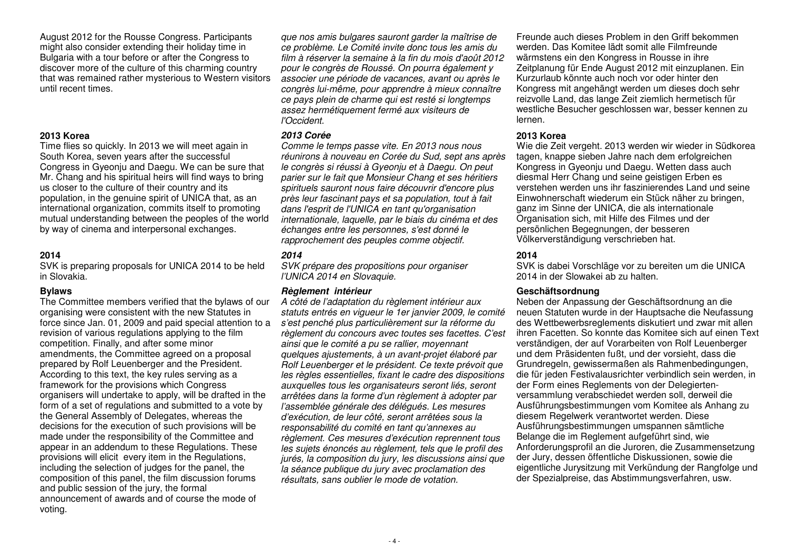August 2012 for the Rousse Congress. Participants might also consider extending their holiday time in Bulgaria with a tour before or after the Congress to discover more of the culture of this charming country that was remained rather mysterious to Western visitors until recent times.

Time flies so quickly. In 2013 we will meet again in South Korea, seven years after the successful Congress in Gyeonju and Daegu. We can be sure that Mr. Chang and his spiritual heirs will find ways to bring us closer to the culture of their country and its population, in the genuine spirit of UNICA that, as an international organization, commits itself to promoting mutual understanding between the peoples of the world by way of cinema and interpersonal exchanges.

SVK is preparing proposals for UNICA 2014 to be held in Slovakia.

The Committee members verified that the bylaws of our organising were consistent with the new Statutes in force since Jan. 01, 2009 and paid special attention to a revision of various regulations applying to the film competition. Finally, and after some minor amendments, the Committee agreed on a proposal prepared by Rolf Leuenberger and the President. According to this text, the key rules serving as a framework for the provisions which Congress organisers will undertake to apply, will be drafted in the form of a set of regulations and submitted to a vote by the General Assembly of Delegates, whereas the decisions for the execution of such provisions will be made under the responsibility of the Committee and appear in an addendum to these Regulations. These provisions will elicit every item in the Regulations, including the selection of judges for the panel, the composition of this panel, the film discussion forums and public session of the jury, the formal announcement of awards and of course the mode of voting.

que nos amis bulgares sauront garder la maîtrise de ce problème. Le Comité invite donc tous les amis du film à réserver la semaine à la fin du mois d'août 2012 pour le congrès de Roussé. On pourra également y associer une période de vacances, avant ou après le congrès lui-même, pour apprendre à mieux connaître ce pays plein de charme qui est resté si longtemps assez hermétiquement fermé aux visiteurs de l'Occident.

Comme le temps passe vite. En 2013 nous nous réunirons à nouveau en Corée du Sud, sept ans aprèsle congrès si réussi à Gyeonju et à Daegu. On peut parier sur le fait que Monsieur Chang et ses héritiers spirituels sauront nous faire découvrir d'encore plus près leur fascinant pays et sa population, tout à fait dans l'esprit de l'UNICA en tant qu'organisation internationale, laquelle, par le biais du cinéma et des échanges entre les personnes, s'est donné le rapprochement des peuples comme objectif.

### **2014 2014 2014**

SVK prépare des propositions pour organiser l'UNICA 2014 en Slovaquie.

### **Bylaws Règlement intérieur Geschäftsordnung**

A côté de l'adaptation du règlement intérieur aux statuts entrés en vigueur le 1er janvier 2009, le comité s'est penché plus particulièrement sur la réforme du règlement du concours avec toutes ses facettes. C'est ainsi que le comité a pu se rallier, moyennant quelques ajustements, à un avant-projet élaboré par Rolf Leuenberger et le président. Ce texte prévoit que les règles essentielles, fixant le cadre des dispositions auxquelles tous les organisateurs seront liés, seront arrêtées dans la forme d'un règlement à adopter parl'assemblée générale des délégués. Les mesures d'exécution, de leur côté, seront arrêtées sous la responsabilité du comité en tant qu'annexes au règlement. Ces mesures d'exécution reprennent tous les sujets énoncés au règlement, tels que le profil des jurés, la composition du jury, les discussions ainsi que la séance publique du jury avec proclamation des résultats, sans oublier le mode de votation.

Freunde auch dieses Problem in den Griff bekommen werden. Das Komitee lädt somit alle Filmfreunde wärmstens ein den Kongress in Rousse in ihre Zeitplanung für Ende August 2012 mit einzuplanen. Ein Kurzurlaub könnte auch noch vor oder hinter den Kongress mit angehängt werden um dieses doch sehr reizvolle Land, das lange Zeit ziemlich hermetisch für westliche Besucher geschlossen war, besser kennen zu lernen.

### **2013 Korea 2013 Corée 2013 Korea**

 Wie die Zeit vergeht. 2013 werden wir wieder in Südkorea tagen, knappe sieben Jahre nach dem erfolgreichen Kongress in Gyeonju und Daegu. Wetten dass auch diesmal Herr Chang und seine geistigen Erben es verstehen werden uns ihr faszinierendes Land und seine Einwohnerschaft wiederum ein Stück näher zu bringen, ganz im Sinne der UNICA, die als internationale Organisation sich, mit Hilfe des Filmes und der persönlichen Begegnungen, der besseren Völkerverständigung verschrieben hat.

 SVK is dabei Vorschläge vor zu bereiten um die UNICA 2014 in der Slowakei ab zu halten.

 Neben der Anpassung der Geschäftsordnung an die neuen Statuten wurde in der Hauptsache die Neufassung des Wettbewerbsreglements diskutiert und zwar mit allen ihren Facetten. So konnte das Komitee sich auf einen Text verständigen, der auf Vorarbeiten von Rolf Leuenberger und dem Präsidenten fußt, und der vorsieht, dass die Grundregeln, gewissermaßen als Rahmenbedingungen, die für jeden Festivalausrichter verbindlich sein werden, in der Form eines Reglements von der Delegiertenversammlung verabschiedet werden soll, derweil die Ausführungsbestimmungen vom Komitee als Anhang zu diesem Regelwerk verantwortet werden. Diese Ausführungsbestimmungen umspannen sämtliche Belange die im Reglement aufgeführt sind, wie Anforderungsprofil an die Juroren, die Zusammensetzung der Jury, dessen öffentliche Diskussionen, sowie die eigentliche Jurysitzung mit Verkündung der Rangfolge und der Spezialpreise, das Abstimmungsverfahren, usw.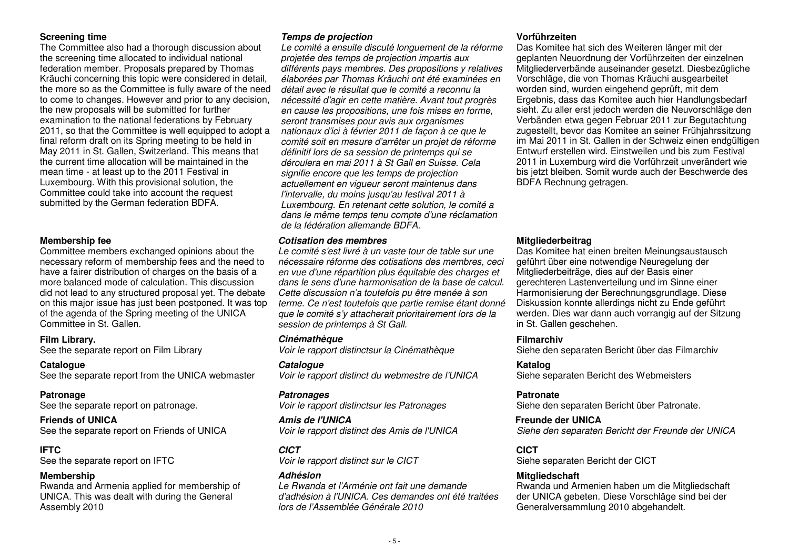The Committee also had a thorough discussion about the screening time allocated to individual national federation member. Proposals prepared by Thomas Kräuchi concerning this topic were considered in detail, the more so as the Committee is fully aware of the need to come to changes. However and prior to any decision, the new proposals will be submitted for further examination to the national federations by February 2011, so that the Committee is well equipped to adopt a final reform draft on its Spring meeting to be held in May 2011 in St. Gallen, Switzerland. This means that the current time allocation will be maintained in the mean time - at least up to the 2011 Festival in Luxembourg. With this provisional solution, the Committee could take into account the request submitted by the German federation BDFA.

Committee members exchanged opinions about the necessary reform of membership fees and the need tohave a fairer distribution of charges on the basis of a more balanced mode of calculation. This discussion did not lead to any structured proposal yet. The debate on this major issue has just been postponed. It was top of the agenda of the Spring meeting of the UNICA Committee in St. Gallen.

See the separate report from the UNICA webmaster

See the separate report on patronage.

See the separate report on Friends of UNICA Voir le rapport distinct des Amis de l'UNICA

## **IFTC CICT**

Rwanda and Armenia applied for membership of UNICA. This was dealt with during the General Assembly 2010

### **Screening time Temps de projection Vorführzeiten**

Le comité a ensuite discuté longuement de la réforme projetée des temps de projection impartis aux différents pays membres. Des propositions y relatives élaborées par Thomas Kräuchi ont été examinées en détail avec le résultat que le comité a reconnu la nécessité d'agir en cette matière. Avant tout progrès en cause les propositions, une fois mises en forme,seront transmises pour avis aux organismes nationaux d'ici à février 2011 de façon à ce que le comité soit en mesure d'arrêter un projet de réforme définitif lors de sa session de printemps qui se déroulera en mai 2011 à St Gall en Suisse. Cela signifie encore que les temps de projection actuellement en vigueur seront maintenus dans l'intervalle, du moins jusqu'au festival 2011 à Luxembourg. En retenant cette solution, le comité a dans le même temps tenu compte d'une réclamation de la fédération allemande BDFA.

### **Membership fee Cotisation des membres Mitgliederbeitrag**

Le comité s'est livré à un vaste tour de table sur une nécessaire réforme des cotisations des membres, ceci en vue d'une répartition plus équitable des charges et dans le sens d'une harmonisation de la base de calcul. Cette discussion n'a toutefois pu être menée à son terme. Ce n'est toutefois que partie remise étant donné que le comité s'y attacherait prioritairement lors de la session de printemps à St Gall.

**Film Library. Cinémathèque Filmarchiv** 

**Catalogue Catalogue Katalog** Voir le rapport distinct du webmestre de l'UNICA

### **Patronage Patronages**

Voir le rapport distinctsur les Patronages

# **Friends of UNICA Amis de l'UNICA Freunde der UNICA**

**IFTC**<br>See the separate report on IFTC *Voir le rapport distinct sur le CICT* Siehe

Le Rwanda et l'Arménie ont fait une demande d'adhésion à l'UNICA. Ces demandes ont été traitéeslors de l'Assemblée Générale 2010

 Das Komitee hat sich des Weiteren länger mit der geplanten Neuordnung der Vorführzeiten der einzelnen Mitgliederverbände auseinander gesetzt. Diesbezügliche Vorschläge, die von Thomas Kräuchi ausgearbeitet worden sind, wurden eingehend geprüft, mit dem Ergebnis, dass das Komitee auch hier Handlungsbedarf sieht. Zu aller erst jedoch werden die Neuvorschläge den Verbänden etwa gegen Februar 2011 zur Begutachtung zugestellt, bevor das Komitee an seiner Frühjahrssitzung im Mai 2011 in St. Gallen in der Schweiz einen endgültigen Entwurf erstellen wird. Einstweilen und bis zum Festival 2011 in Luxemburg wird die Vorführzeit unverändert wie bis jetzt bleiben. Somit wurde auch der Beschwerde des BDFA Rechnung getragen.

 Das Komitee hat einen breiten Meinungsaustausch geführt über eine notwendige Neuregelung der Mitgliederbeiträge, dies auf der Basis einer gerechteren Lastenverteilung und im Sinne einer Harmonisierung der Berechnungsgrundlage. Diese Diskussion konnte allerdings nicht zu Ende geführt werden. Dies war dann auch vorrangig auf der Sitzung in St. Gallen geschehen.

See the separate report on Film Library **Voir le rapport distinctsur la Cinémathèque** Siehe den separaten Bericht über das Filmarchiv

Siehe separaten Bericht des Webmeisters

### **Patronate**

Siehe den separaten Bericht über Patronate.

Siehe den separaten Bericht der Freunde der UNICA

Siehe separaten Bericht der CICT

### **Membership Adhésion Mitgliedschaft**

 Rwanda und Armenien haben um die Mitgliedschaft der UNICA gebeten. Diese Vorschläge sind bei der Generalversammlung 2010 abgehandelt.